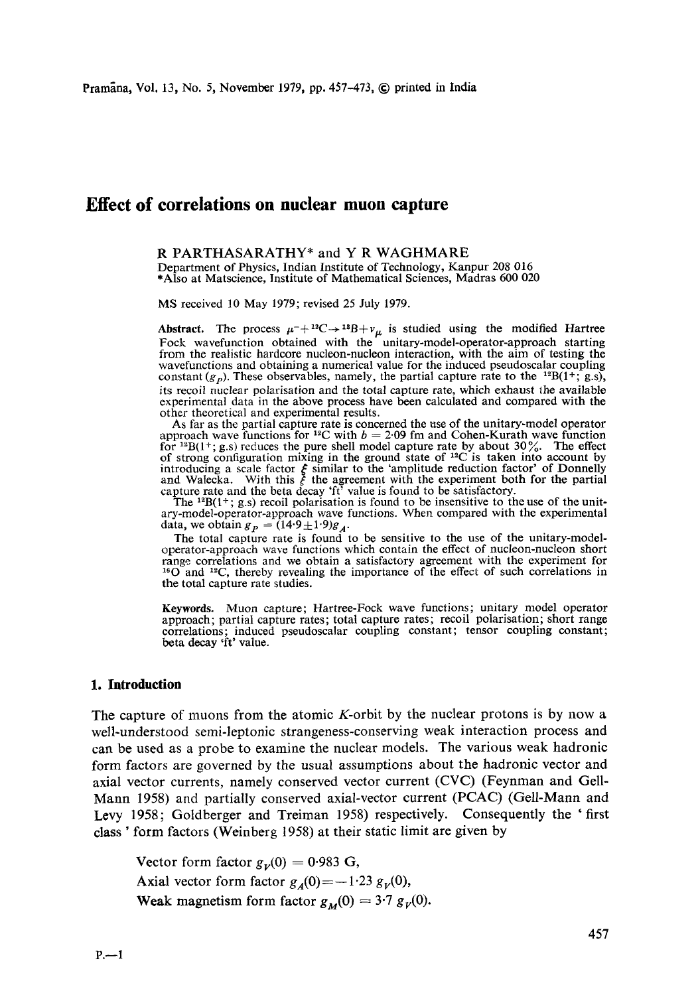# **Effect of correlations on nuclear muon capture**

### R PARTHASARATHY\* and Y R WAGHMARE

Department of Physics, Indian Institute of Technology, Kanpur 208 016 \*Also at Matscience, Institute of Mathematical Sciences, Madras 600 020

MS received l0 May 1979; revised 25 July 1979.

Abstract. The process  $\mu^{-}+{}^{12}C \rightarrow {}^{12}B+{}^{1}\mu$  is studied using the modified Hartree Fock wavefunction obtained with the unitary-model-operator-approach starting from the realistic hardcore nucleon-nucleon interaction, with the aim of testing the wavefunctions and obtaining a numerical value for the induced pseudoscalar coupling constant  $(g_p)$ . These observables, namely, the partial capture rate to the <sup>12</sup>B(1<sup>+</sup>; g.s), its recoil nuclear polarisation and the total capture rate, which exhaust the available experimental data in the above process have been calculated and compared with the other theoretical and experimental results.

As far as the partial capture rate is concerned the use of the unitary-model operator approach wave functions for <sup>12</sup>C with  $b = 2.09$  fm and Cohen-Kurath wave function for <sup>12</sup>B(1+; g.s) reduces the pure shell model capture rate by about 30%. The effect of strong configuration mixing in the ground state of <sup>12</sup>C is taken into account by introducing a scale factor  $\epsilon$  similar to the 'amplitude reduction factor' of Donnelly and Walecka. With this  $\xi$  the agreement with the experiment both for the partial

capture rate and the beta decay 'ft' value is found to be satisfactory.<br>The  $^{12}B(1^+; g.s)$  recoil polarisation is found to be insensitive to the use of the unit-<br>ary-model-operator-approach wave functions. When compared data, we obtain  $g_p = (14.9 \pm 1.9)g_A$ .

The total capture rate is found to be sensitive to the use of the unitary-modeloperator-approach wave functions which contain the effect of nucleon-nucleon short range correlations and we obtain a satisfactory agreement with the experiment for  $160$  and  $12$ C, thereby revealing the importance of the effect of such correlations in the total capture rate studies.

**Keywords.** Muon capture; Hartree-Fock wave functions; unitary model operator approach; partial capture rates; total capture rates; recoil polarisation; short range correlations; induced pseudoscalar coupling constant; tensor coupling constant; beta decay fit' value.

### **1. Introduction**

The capture of muons from the atomic K-orbit by the nuclear protons is by now a well-understood semi-leptonic strangeness-conserving weak interaction process and can be used as a probe to examine the nuclear models. The various weak hadronic form factors are governed by the usual assumptions about the hadronic vector and axial vector currents, namely conserved vector current (CVC) (Feynman and Gell-Mann 1958) and partially conserved axial-vector current (PCAC) (Gell-Mann and Levy 1958; Goldberger and Treiman 1958) respectively. Consequently the 'first class ' form factors (Weinberg 1958) at their static limit are given by

Vector form factor  $g_{\nu}(0) = 0.983$  G, Axial vector form factor  $g_A(0) = -1.23 g_V(0)$ , Weak magnetism form factor  $g_M(0) = 3.7 g_V(0)$ .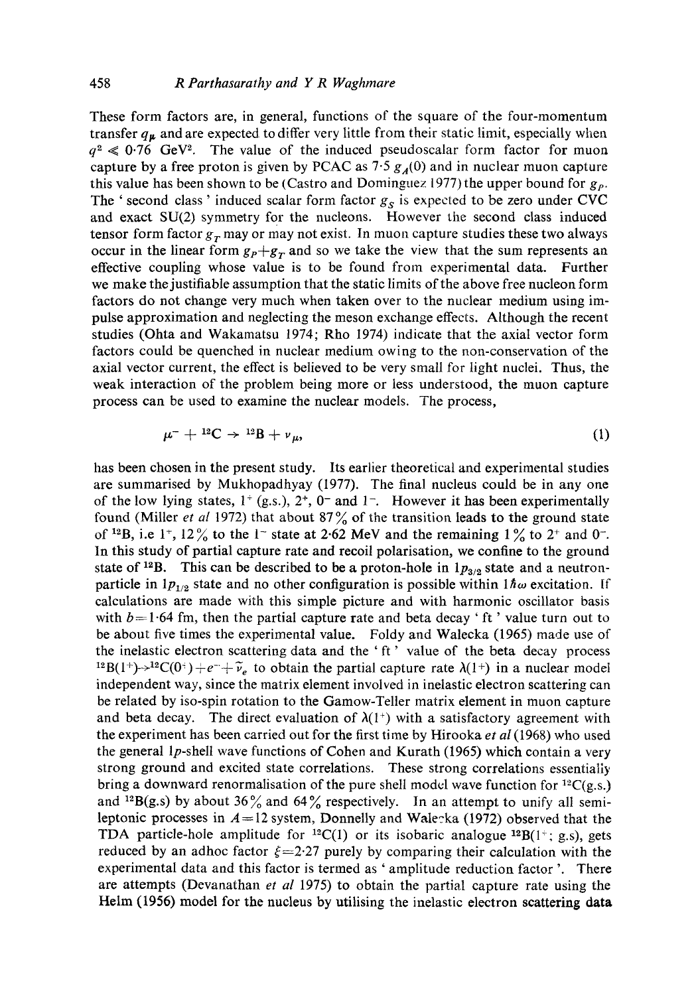These form factors are, in general, functions of the square of the four-momentum transfer  $q_{\mu}$  and are expected to differ very little from their static limit, especially when  $q^2 \ll 0.76$  GeV<sup>2</sup>. The value of the induced pseudoscalar form factor for muon capture by a free proton is given by PCAC as  $7.5 g<sub>A</sub>(0)$  and in nuclear muon capture this value has been shown to be (Castro and Dominguez 1977) the upper bound for  $g_p$ . The ' second class ' induced scalar form factor  $g<sub>S</sub>$  is expected to be zero under CVC and exact SU(2) symmetry for the nucleons. However the second class induced tensor form factor  $g_r$  may or may not exist. In muon capture studies these two always occur in the linear form  $g_p+g_r$  and so we take the view that the sum represents an effective coupling whose value is to be found from experimental data. Further we make the justifiable assumption that the static limits of the above free nucleon form factors do not change very much when taken over to the nuclear medium using impulse approximation and neglecting the meson exchange effects. Although the recent studies (Ohta and Wakamatsu 1974; Rho 1974) indicate that the axial vector form factors could be quenched in nuclear medium owing to the non-conservation of the axial vector current, the effect is believed to be very small for light nuclei. Thus, the weak interaction of the problem being more or less understood, the muon capture process can be used to examine the nuclear models. The process,

$$
\mu^{-} + {}^{12}\text{C} \rightarrow {}^{12}\text{B} + \nu_{\mu}, \tag{1}
$$

has been chosen in the present study. Its earlier theoretical and experimental studies are summarised by Mukhopadhyay (1977). The final nucleus could be in any one of the low lying states,  $1^+$  (g.s.),  $2^+$ ,  $0^-$  and  $1^-$ . However it has been experimentally found (Miller *et al* 1972) that about 87% of the transition leads to the ground state of <sup>12</sup>B, i.e 1<sup>+</sup>, 12<sup>o</sup>/<sub>o</sub> to the 1<sup>-</sup> state at 2.62 MeV and the remaining 1<sup>o</sup>/<sub>o</sub> to 2<sup>+</sup> and 0<sup>-</sup>. In this study of partial capture rate and recoil polarisation, we confine to the ground state of <sup>12</sup>B. This can be described to be a proton-hole in  $1p_{3/2}$  state and a neutronparticle in  $1p_{1/2}$  state and no other configuration is possible within  $1\hbar\omega$  excitation. If calculations are made with this simple picture and with harmonic oscillator basis with  $b=1.64$  fm, then the partial capture rate and beta decay ' ft' value turn out to be about five times the experimental value. Foldy and Walecka (1965) made use of the inelastic electron scattering data and the ' ft ' value of the beta decay process <sup>12</sup>B(1<sup>+</sup>)- $\rightarrow$ <sup>12</sup>C(0<sup>+</sup>) + e<sup>-</sup>+ $\tilde{\nu}_e$  to obtain the partial capture rate  $\lambda(1^+)$  in a nuclear model independent way, since the matrix element involved in inelastic electron scattering can be related by iso-spin rotation to the Gamow-Teller matrix element in muon capture and beta decay. The direct evaluation of  $\lambda(1^+)$  with a satisfactory agreement with the experiment has been carried out for the first ti me by Hirooka *et aI* (1968) who used the general lp-shell wave functions of Cohen and Kurath (1965) which contain a very strong ground and excited state correlations. These strong correlations essentially bring a downward renormalisation of the pure shell model wave function for  ${}^{12}C(g,s.)$ and <sup>12</sup>B(g.s) by about 36% and 64% respectively. In an attempt to unify all semileptonic processes in  $A=12$  system, Donnelly and Walecka (1972) observed that the TDA particle-hole amplitude for <sup>12</sup>C(1) or its isobaric analogue <sup>12</sup>B(1<sup>+</sup>; g.s), gets reduced by an adhoc factor  $\xi=2.27$  purely by comparing their calculation with the experimental data and this factor is termed as ' amplitude reduction factor '. There are attempts (Devanathan *et al* 1975) to obtain the partial capture rate using the Helm (1956) model for the nucleus by utilising the inelastic electron scattering data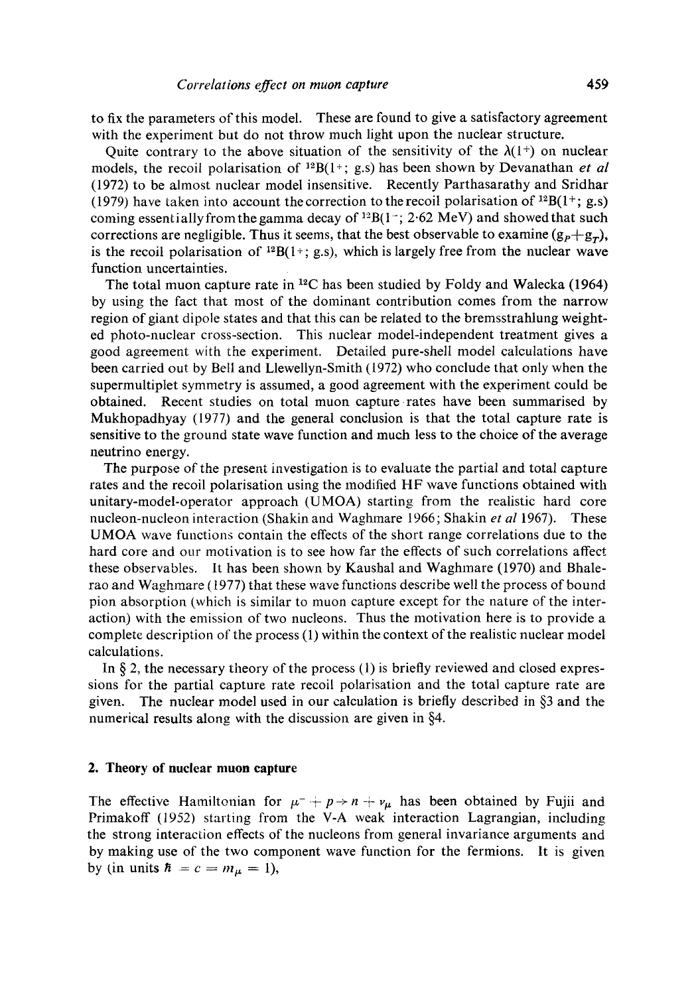to fix the parameters of this model. These are found to give a satisfactory agreement with the experiment but do not throw much light upon the nuclear structure.

Quite contrary to the above situation of the sensitivity of the  $\lambda(1^+)$  on nuclear models, the recoil polarisation of  $^{12}B(1^{+}; g.s)$  has been shown by Devanathan *et al* (1972) to be almost nuclear model insensitive. Recently Parthasarathy and Sridhar (1979) have taken into account the correction to the recoil polarisation of  $^{12}B(1^{+}; g.s)$ coming essentially from the gamma decay of  $^{12}B(1^-; 2.62 \text{ MeV})$  and showed that such corrections are negligible. Thus it seems, that the best observable to examine  $(g_P + g_T)$ , is the recoil polarisation of  $^{12}B(1+; g.s)$ , which is largely free from the nuclear wave function uncertainties.

The total muon capture rate in  $^{12}C$  has been studied by Foldy and Walecka (1964) by using the fact that most of the dominant contribution comes from the narrow region of giant dipole states and that this can be related to the bremsstrahlung weighted photo-nuclear cross-section. This nuclear model-independent treatment gives a good agreement with the experiment. Detailed pure-shell model calculations have been carried out by Bell and Llewellyn-Smith (1972) who conclude that only when the supermultiplet symmetry is assumed, a good agreement with the experiment could be obtained. Recent studies on total muon capture rates have been summarised by Mukhopadhyay (1977) and the general conclusion is that the total capture rate is sensitive to the ground state wave function and much less to the choice of the average neutrino energy.

The purpose of the present investigation is to evaluate the partial and total capture rates and the recoil polarisation using the modified HF wave functions obtained with unitary-model-operator approach (UMOA) starting from the realistic hard core nucleon-nucleon interaction (Shakin and Waghmare 1966; Shakin *et al* 1967). These UMOA wave functions contain the effects of the short range correlations due to the hard core and our motivation is to see how far the effects of such correlations affect these observables. It has been shown by Kaushal and Waghmare (1970) and Bhalerao and Waghmare (1977) that these wave functions describe well the process of bound pion absorption (which is similar to muon capture except for the nature of the interaction) with the emission of two nucleons. Thus the motivation here is to provide a complete description of the process (1) within the context of the realistic nuclear model calculations.

In  $\S$  2, the necessary theory of the process (1) is briefly reviewed and closed expressions for the partial capture rate recoil polarisation and the total capture rate are given. The nuclear model used in our calculation is briefly described in §3 and the numerical results along with the discussion are given in §4.

### **2. Theory of nuclear muon capture**

The effective Hamiltonian for  $\mu^- + p \rightarrow n + \nu_\mu$  has been obtained by Fujii and Primakoff (1952) starting from the V-A weak interaction Lagrangian, including the strong interaction effects of the nucleons from general invariance arguments and by making use of the two component wave function for the fermions. It is given by (in units  $\hbar = c = m_{\mu} = 1$ ),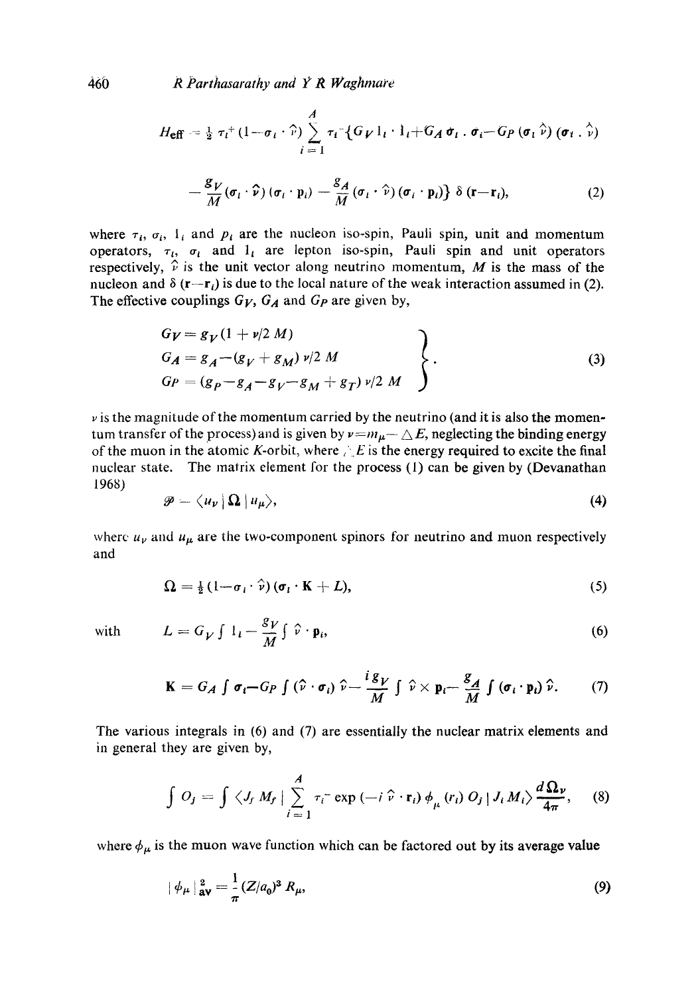460 *R Parthasarathy and 1 ? R Waghmare* 

$$
H_{\text{eff}} = \frac{1}{2} \tau_l^+ (1 - \sigma_l \cdot \hat{r}) \sum_{i=1}^A \tau_i^- \big\{ G_V \big|_{l} \cdot \big|_{l} + G_A \sigma_l \cdot \sigma_i - G_P (\sigma_l \hat{r}) (\sigma_l \cdot \hat{r})
$$

$$
-\frac{\mathcal{S}_V}{M}(\boldsymbol{\sigma}_l\cdot\boldsymbol{\hat{\nu}})(\boldsymbol{\sigma}_l\cdot\mathbf{p}_i)-\frac{\mathcal{S}_A}{M}(\boldsymbol{\sigma}_l\cdot\hat{\boldsymbol{\nu}})(\boldsymbol{\sigma}_i\cdot\mathbf{p}_i)\delta(\mathbf{r}-\mathbf{r}_i),
$$
\n(2)

where  $\tau_i$ ,  $\sigma_i$ ,  $I_i$  and  $p_i$  are the nucleon iso-spin, Pauli spin, unit and momentum operators,  $\tau_i$ ,  $\sigma_i$  and  $1_i$  are lepton iso-spin, Pauli spin and unit operators respectively,  $\hat{v}$  is the unit vector along neutrino momentum, M is the mass of the nucleon and  $\delta$  (r-r<sub>i</sub>) is due to the local nature of the weak interaction assumed in (2). The effective couplings  $G_V$ ,  $G_A$  and  $G_P$  are given by,

$$
G_V = g_V (1 + v/2 M) G_A = g_A - (g_V + g_M) v/2 M G_P = (g_P - g_A - g_V - g_M + g_T) v/2 M
$$
 (3)

 $\nu$  is the magnitude of the momentum carried by the neutrino (and it is also the momentum transfer of the process) and is given by  $v = m_{\mu} - \Delta E$ , neglecting the binding energy of the muon in the atomic K-orbit, where  $\sum E$  is the energy required to excite the final nuclear state. The matrix element for the process (1) can be given by (Devanathan 1968)

$$
\mathscr{P}=\langle u_{\nu}|\Omega|u_{\mu}\rangle, \qquad (4)
$$

where  $u_{\nu}$  and  $u_{\mu}$  are the two-component spinors for neutrino and muon respectively and

$$
\Omega = \frac{1}{2} \left( 1 - \sigma_i \cdot \hat{\nu} \right) (\sigma_i \cdot \mathbf{K} + L), \tag{5}
$$

with 
$$
L = G_V \int 1_i - \frac{g_V}{M} \int \hat{v} \cdot \mathbf{p}_i,
$$
 (6)

$$
\mathbf{K} = G_A \int \boldsymbol{\sigma}_i - G_P \int (\hat{\boldsymbol{\nu}} \cdot \boldsymbol{\sigma}_i) \hat{\boldsymbol{\nu}} - \frac{i g_V}{M} \int \hat{\boldsymbol{\nu}} \times \mathbf{p}_i - \frac{g_A}{M} \int (\boldsymbol{\sigma}_i \cdot \mathbf{p}_i) \hat{\boldsymbol{\nu}}. \tag{7}
$$

The various integrals in (6) and (7) are essentially the nuclear matrix elements and in general they are given by,

$$
\int O_j = \int \langle J_f M_f | \sum_{i=1}^A \tau_i^- \exp(-i \hat{v} \cdot \mathbf{r}_i) \phi_{\mu}(r_i) O_j | J_i M_i \rangle \frac{d \Omega_{\nu}}{4 \pi}, \quad (8)
$$

where  $\phi_{\mu}$  is the muon wave function which can be factored out by its average value

$$
|\phi_{\mu}|_{\text{av}}^2 = \frac{1}{\pi} (Z/a_0)^3 R_{\mu},
$$
\n(9)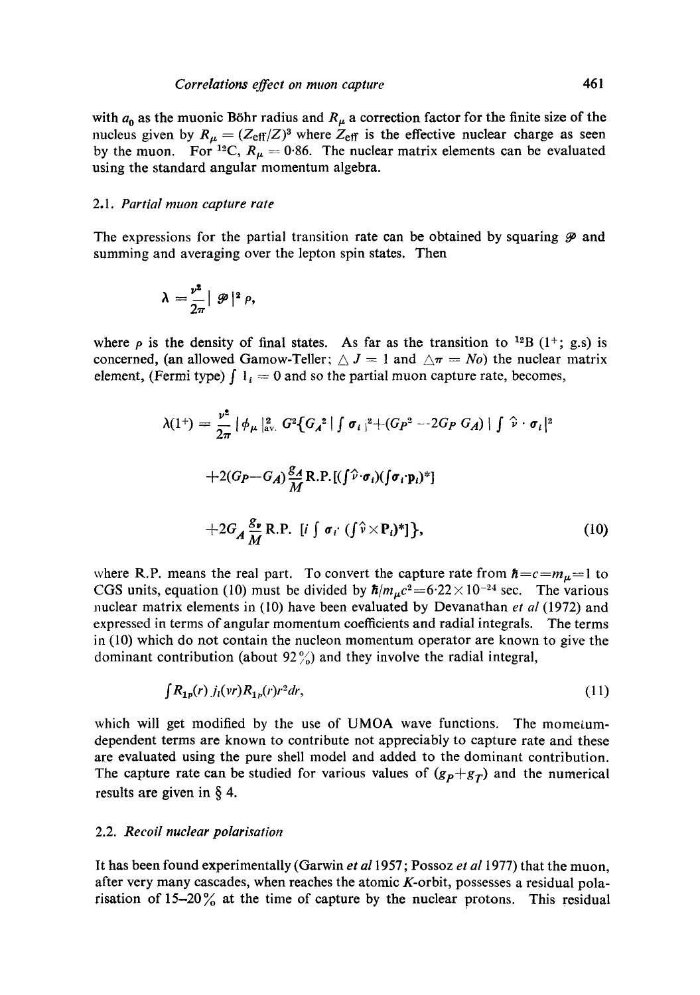with  $a_0$  as the muonic Böhr radius and  $R_\mu$  a correction factor for the finite size of the nucleus given by  $R_{\mu} = (Z_{\text{eff}}/Z)^3$  where  $Z_{\text{eff}}$  is the effective nuclear charge as seen by the muon. For <sup>12</sup>C,  $R_{\mu} = 0.86$ . The nuclear matrix elements can be evaluated using the standard angular momentum algebra.

#### *2.1. Partial much capture rate*

The expressions for the partial transition rate can be obtained by squaring  $\mathcal P$  and summing and averaging over the lepton spin states. Then

$$
\lambda = \frac{\nu^2}{2\pi} \vert \mathcal{P} \vert^2 \rho,
$$

where  $\rho$  is the density of final states. As far as the transition to <sup>12</sup>B (1<sup>+</sup>; g.s) is concerned, (an allowed Gamow-Teller;  $\triangle J = 1$  and  $\triangle \pi = N_o$ ) the nuclear matrix element, (Fermi type)  $\int 1_i = 0$  and so the partial muon capture rate, becomes,

$$
\lambda(1^+) = \frac{\nu^2}{2\pi} \left[ \phi_\mu \vert_{\text{av.}}^2 G^2 \{ G_A^2 \vert \int \sigma_i \vert^2 + (G_P^2 - 2G_P G_A) \vert \int \hat{\nu} \cdot \sigma_i \vert^2 \right]
$$
  
+2(G\_P - G\_A) \frac{g\_A}{M} R.P. [( \int \hat{\nu} \cdot \sigma\_i) (\int \sigma\_i \cdot \mathbf{p}\_i)^2 ]  
+2G\_A \frac{g\_\nu}{M} R.P. [i \int \sigma\_i \cdot (\int \hat{\nu} \times \mathbf{P}\_i)^2 ]}, \qquad (10)

where R.P. means the real part. To convert the capture rate from  $\hbar = c = m_{\mu} = 1$  to CGS units, equation (10) must be divided by  $\hbar/m_{\mu}c^2 = 6.22 \times 10^{-24}$  sec. The various nuclear matrix elements in (10) have been evaluated by Devanathan *et al* (1972) and expressed in terms of angular momentum coefficients and radial integrals. The terms in (10) which do not contain the nucleon momentum operator are known to give the dominant contribution (about  $92\%$ ) and they involve the radial integral,

$$
\int R_{1p}(r) \, j_l(vr) R_{1p}(r) r^2 dr,\tag{11}
$$

which will get modified by the use of UMOA wave functions. The mometumdependent terms are known to contribute not appreciably to capture rate and these are evaluated using the pure shell model and added to the dominant contribution. The capture rate can be studied for various values of  $(g_p+g_\tau)$  and the numerical results are given in § 4.

#### 2.2. *Recoil nuclear polarisation*

It has been found experimentally (Garwin *et al* 1957; Possoz *et al* 1977) that the muon, after very many cascades, when reaches the atomic K-orbit, possesses a residual polarisation of  $15-20\%$  at the time of capture by the nuclear protons. This residual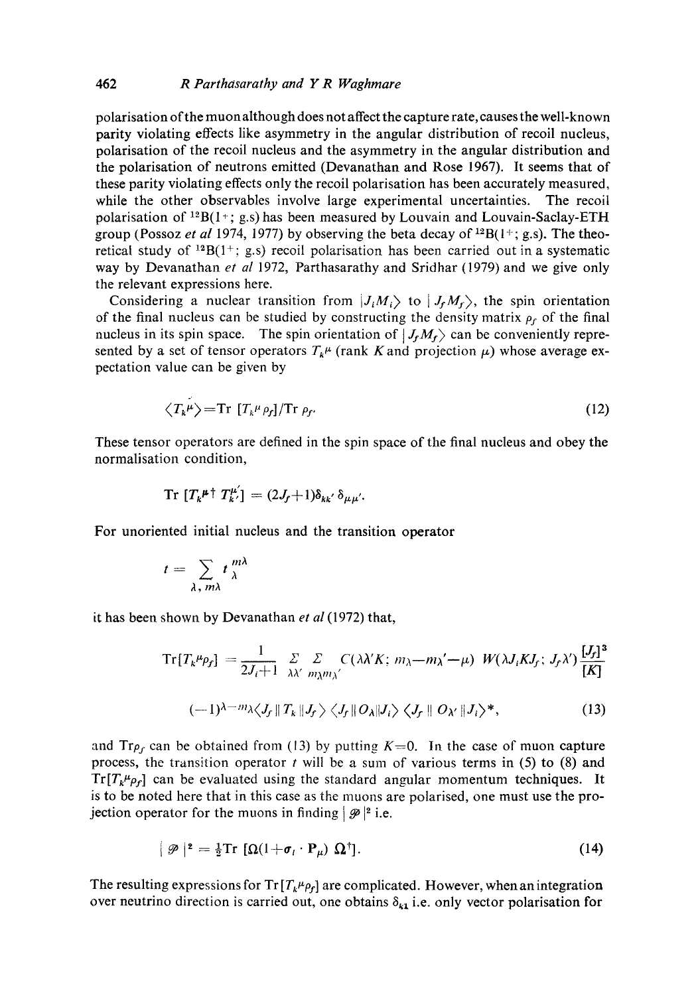## 462 *R Parthasarathy and Y R Waghmare*

polarisation of the muon although does not affect the capture rate, causes the well-known parity violating effects like asymmetry in the angular distribution of recoil nucleus, polarisation of the recoil nucleus and the asymmetry in the angular distribution and the polarisation of neutrons emitted (Devanathan and Rose 1967). It seems that of these parity violating effects only the recoil polarisation has been accurately measured, while the other observables involve large experimental uncertainties. The recoil polarisation of  $^{12}B(1^{+}; g.s)$  has been measured by Louvain and Louvain-Saclay-ETH group (Possoz *et al* 1974, 1977) by observing the beta decay of  ${}^{12}B(1+; g.s)$ . The theoretical study of  $^{12}B(1^+; g.s)$  recoil polarisation has been carried out in a systematic way by Devanathan et al 1972, Parthasarathy and Sridhar (1979) and we give only the relevant expressions here.

Considering a nuclear transition from  $|J_iM_i\rangle$  to  $|J_fM_f\rangle$ , the spin orientation of the final nucleus can be studied by constructing the density matrix  $\rho_f$  of the final nucleus in its spin space. The spin orientation of  $|J_f M_f\rangle$  can be conveniently represented by a set of tensor operators  $T_k^{\mu}$  (rank K and projection  $\mu$ ) whose average expectation value can be given by

$$
\langle T_k^{\mu} \rangle = \text{Tr} \left[ T_k^{\mu} \rho_f \right] / \text{Tr} \rho_f. \tag{12}
$$

These tensor operators are defined in the spin space of the final nucleus and obey the normalisation condition,

$$
\operatorname{Tr} [T_k^{\mu \dagger} T_{k'}^{\mu}] = (2J_f + 1) \delta_{kk'} \delta_{\mu \mu'}.
$$

For unoriented initial nucleus and the transition operator

$$
t=\sum_{\lambda, m\lambda}t\frac{m\lambda}{\lambda}
$$

it has been shown by Devanathan *et al* (1972) that,

$$
\mathrm{Tr}[T_k^{\mu} \rho_f] = \frac{1}{2J_i + 1} \sum_{\lambda \lambda'} \sum_{m_{\lambda} m_{\lambda'}} C(\lambda \lambda' K; m_{\lambda} - m_{\lambda'} - \mu) W(\lambda J_i K J_f; J_f \lambda') \frac{[J_f]^3}{[K]}
$$

$$
(-1)^{\lambda-m}\lambda \langle J_f \| T_k \| J_f \rangle \langle J_f \| O_\lambda \| J_i \rangle \langle J_f \| O_{\lambda'} \| J_i \rangle^*, \qquad (13)
$$

and  $Tr \rho_f$  can be obtained from (13) by putting  $K=0$ . In the case of muon capture process, the transition operator  $t$  will be a sum of various terms in (5) to (8) and  $Tr[T_k^{\mu} \rho_f]$  can be evaluated using the standard angular momentum techniques. It is to be noted here that in this case as the muons are polarised, one must use the projection operator for the muons in finding  $|\mathcal{P}|^2$  i.e.

$$
\oint |\mathcal{P}|^2 = \frac{1}{2} \text{Tr} \left[ \Omega (1 + \sigma_l \cdot \mathbf{P}_\mu) \Omega^\dagger \right]. \tag{14}
$$

The resulting expressions for  $Tr[T_k^{\mu} \rho_f]$  are complicated. However, when an integration over neutrino direction is carried out, one obtains  $\delta_{k1}$  i.e. only vector polarisation for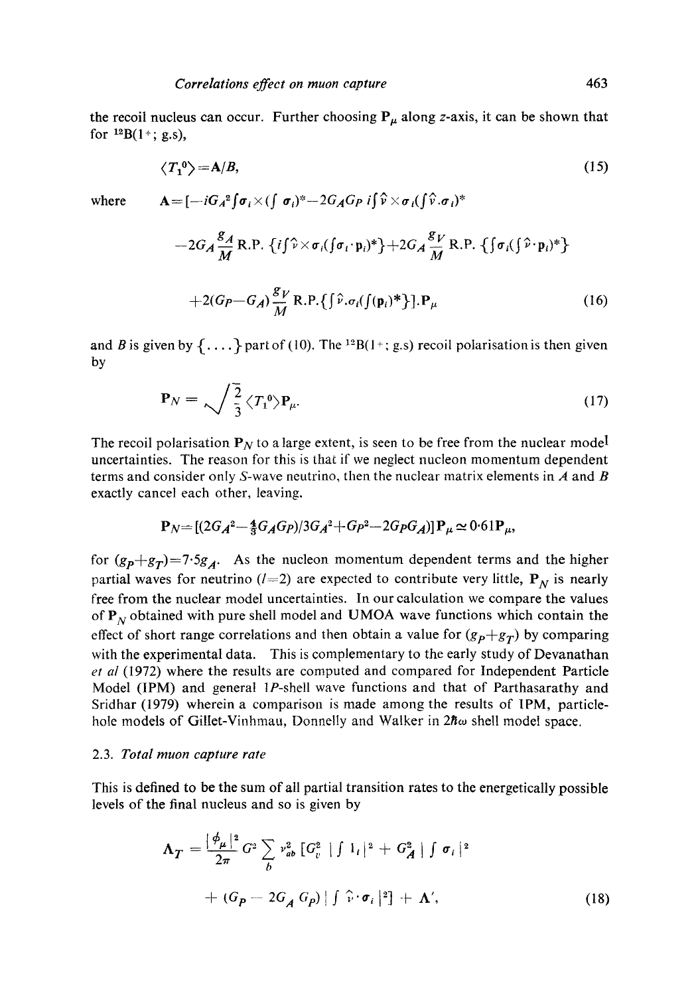the recoil nucleus can occur. Further choosing  $P_{\mu}$  along z-axis, it can be shown that for  $^{12}B(1 + ; g.s)$ ,

$$
\langle T_1^0 \rangle = A/B,\tag{15}
$$

where  $A = [-iG_A^2 \int \sigma_i \times (\int \sigma_i)^* - 2G_A G_P i] \hat{v} \times \sigma_i (\int \hat{v} \cdot \sigma_i)^*$ 

$$
-2G_A \frac{g_A}{M} \text{ R.P. } \{i\} \hat{v} \times \sigma_i(\{\sigma_i \cdot \mathbf{p}_i)^*\} + 2G_A \frac{g_V}{M} \text{ R.P. } \{\{\sigma_i(\{\hat{v} \cdot \mathbf{p}_i)^*\} + 2G_P - G_A\} \frac{g_V}{M} \text{ R.P. } \{i\} \cdot \sigma_i(\{\mathbf{p}_i)^*\} \cdot \mathbf{P}_\mu
$$
\n(16)

and B is given by  $\{ \ldots \}$  part of (10). The <sup>12</sup>B(1+; g.s) recoil polarisation is then given by

$$
\mathbf{P}_N = \sqrt{\frac{2}{3}} \langle T_1^0 \rangle \mathbf{P}_{\mu}.
$$
 (17)

The recoil polarisation  $P_N$  to a large extent, is seen to be free from the nuclear model uncertainties. The reason for this is that if we neglect nucleon momentum dependent terms and consider only S-wave neutrino, then the nuclear matrix elements in  $\vec{A}$  and  $\vec{B}$ exactly cancel each other, leaving,

$$
\mathbf{P}_N = [(2G_A^2 - \frac{4}{3}G_A G_P)/3G_A^2 + G_P^2 - 2G_P G_A)]\mathbf{P}_\mu \approx 0.61\mathbf{P}_\mu,
$$

for  $(g_p+g_T)=7.5g_A$ . As the nucleon momentum dependent terms and the higher partial waves for neutrino ( $l=2$ ) are expected to contribute very little,  $P_N$  is nearly free from the nuclear model uncertainties. In our calculation we compare the values of  $P_N$  obtained with pure shell model and UMOA wave functions which contain the effect of short range correlations and then obtain a value for  $(g_P + g_T)$  by comparing with the experimental data. This is complementary to the early study of Devanathan *et al* (1972) where the results are computed and compared for Independent Particle Model (IPM) and general 1P-shell wave functions and that of Parthasarathy and Sridhar (1979) wherein a comparison is made among the results of IPM, particlehole models of Gillet-Vinhmau, Donnelly and Walker in  $2\hbar\omega$  shell model space.

#### 2.3. *Total muon capture rate*

This is defined to be the sum of all partial transition rates to the energetically possible levels of the final nucleus and so is given by

$$
\Lambda_T = \frac{|\phi_\mu|^2}{2\pi} G^2 \sum_b v_{ab}^2 \left[G_v^2 \mid \int 1_i \mid^2 + G_A^2 \mid \int \sigma_i \mid^2 \right]
$$
  
+ 
$$
(G_P - 2G_A G_P) \mid \int \hat{v} \cdot \sigma_i \mid^2] + \Lambda', \qquad (18)
$$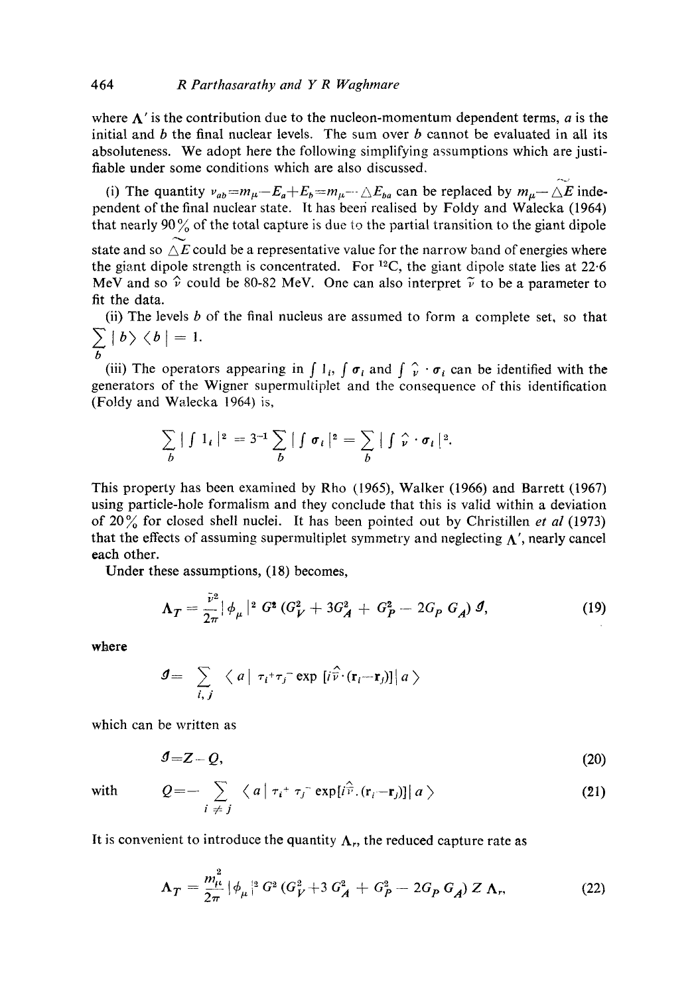where  $\Lambda'$  is the contribution due to the nucleon-momentum dependent terms, a is the initial and b the final nuclear levels. The sum over b cannot be evaluated in all its absoluteness. We adopt here the following simplifying assumptions which are justifiable under some conditions which are also discussed.

(i) The quantity  $v_{ab} = m_{\mu} - E_a + E_b = m_{\mu} - \Delta E_b$  can be replaced by  $m_{\mu} - \Delta E$  independent of the final nuclear state. It has been realised by Foldy and Walecka (1964) that nearly 90 $\%$  of the total capture is due to the partial transition to the giant dipole state and so  $\Delta E$  could be a representative value for the narrow band of energies where the giant dipole strength is concentrated. For  $^{12}C$ , the giant dipole state lies at 22.6 MeV and so  $\hat{v}$  could be 80-82 MeV. One can also interpret  $\tilde{v}$  to be a parameter to fit the data.

(ii) The levels  $b$  of the final nucleus are assumed to form a complete set, so that  $\langle b|b\rangle \langle b|=1.$ 

b (iii) The operators appearing in  $\int l_i$ ,  $\int \sigma_i$  and  $\int \gamma_i \cdot \sigma_i$  can be identified with the generators of the Wigner supermultiplet and the consequence of this identification (Foldy and Walecka 1964) is,

$$
\sum_{b} | \int 1_{i} |^{2} = 3^{-1} \sum_{b} | \int \sigma_{i} |^{2} = \sum_{b} | \int \hat{\nu} \cdot \sigma_{i} |^{2}.
$$

This property has been examined by Rho (1965), Walker (1966) and Barrett (1967) using particle-hole formalism and they conclude that this is valid within a deviation of 20% for closed shell nuclei. It has been pointed out by Christillen *et al* (1973) that the effects of assuming supermultiplet symmetry and neglecting  $\Lambda'$ , nearly cancel each other.

Under these assumptions, (18) becomes,

$$
\Lambda_T = \frac{\bar{v}^2}{2\pi} |\phi_{\mu}|^2 G^2 (G_V^2 + 3G_A^2 + G_P^2 - 2G_P G_A) \mathcal{J}, \tag{19}
$$

where

$$
\mathbf{I} = \sum_{i,j} \langle a | \tau_i + \tau_j \text{exp} \left[ i \widehat{\mathbf{v}} \cdot (\mathbf{r}_i - \mathbf{r}_j) \right] | a \rangle
$$

which can be written as

$$
J = Z - Q,\tag{20}
$$

with

$$
Q = -\sum_{i \neq j} \langle a | \tau_i^+ \tau_j^- \exp[i\hat{r}](\mathbf{r}_i - \mathbf{r}_j)] | a \rangle \tag{21}
$$

It is convenient to introduce the quantity  $\Lambda_r$ , the reduced capture rate as

$$
\Lambda_T = \frac{m_{\mu}^2}{2\pi} |\phi_{\mu}|^2 G^2 (G_V^2 + 3 G_A^2 + G_P^2 - 2G_P G_A) Z \Lambda_r,
$$
 (22)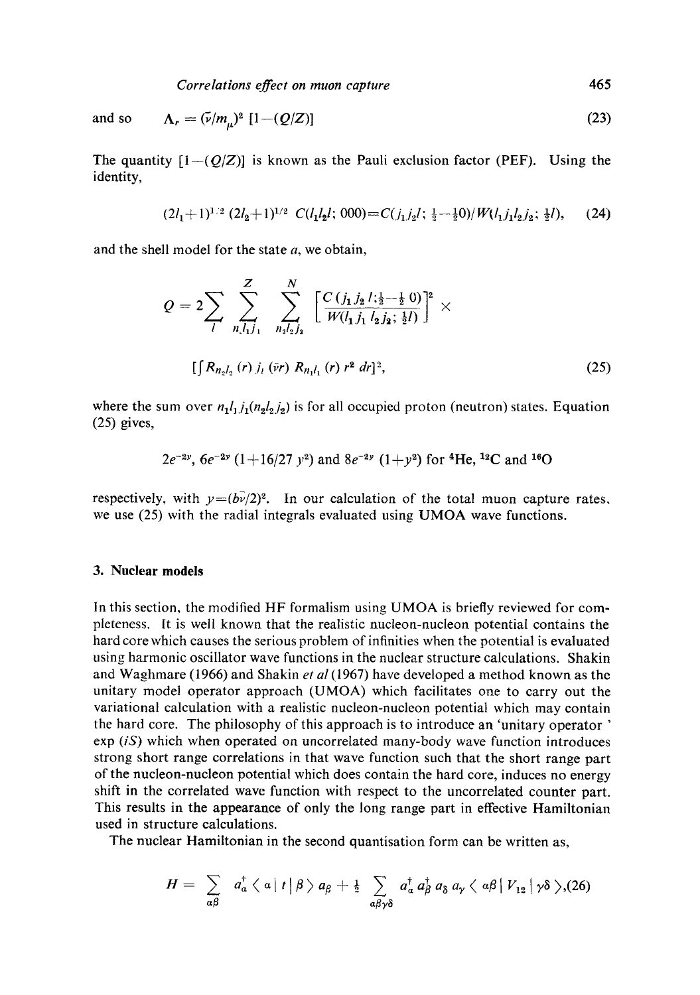and so 
$$
\Lambda_r = (\bar{\nu}/m_\mu)^2 [1-(Q/Z)] \tag{23}
$$

The quantity  $[1-(Q/Z)]$  is known as the Pauli exclusion factor (PEF). Using the identity,

$$
(2l_1+1)^{1/2} (2l_2+1)^{1/2} C(l_1l_2l; 000) = C(j_1j_2l; \frac{1}{2}-\frac{1}{2}0)/W(l_1j_1l_2j_2; \frac{1}{2}l), \quad (24)
$$

and the shell model for the state  $a$ , we obtain,

$$
Q = 2 \sum_{l} \sum_{n, l_1, l_1}^{Z} \sum_{n_2, l_2, l_3}^{N} \left[ \frac{C (j_1 j_2 l; \frac{1}{2} - \frac{1}{2} \cdot 0)}{W (l_1 j_1 l_2 j_2; \frac{1}{2} l)} \right]^2 \times \left[ \int R_{n_2 l_2}(r) j_1 \left( \bar{v} r \right) R_{n_1 l_1}(r) r^2 dr \right]^2, \tag{25}
$$

where the sum over  $n_1l_1j_1(n_2l_2j_2)$  is for all occupied proton (neutron) states. Equation (25) gives,

$$
2e^{-2y}
$$
,  $6e^{-2y}$   $(1+16/27 y^2)$  and  $8e^{-2y}$   $(1+y^2)$  for <sup>4</sup>He, <sup>12</sup>C and <sup>16</sup>O

respectively, with  $y=(b\bar{v}/2)^2$ . In our calculation of the total muon capture rates, we use (25) with the radial integrals evaluated using UMOA wave functions.

## **3. Nuclear models**

In this section, the modified HF formalism using UMOA is briefly reviewed for completeness. It is well known that the realistic nucleon-nucleon potential contains the hard core which causes the serious problem of infinities when the potential is evaluated using harmonic oscillator wave functions in the nuclear structure calculations. Shakin and Waghmare (1966) and Shakin *et al* (1967) have developed a method known as the unitary model operator approach (UMOA) which facilitates one to carry out the variational calculation with a realistic nucleon-nucleon potential which may contain the hard core. The philosophy of this approach is to introduce an 'unitary operator ' exp *(iS)* which when operated on uncorrelated many-body wave function introduces strong short range correlations in that wave function such that the short range part of the nucleon-nucleon potential which does contain the hard core, induces no energy shift in the correlated wave function with respect to the uncorrelated counter part. This results in the appearance of only the long range part in effective Hamiltonian used in structure calculations.

The nuclear Hamiltonian in the second quantisation form can be written as,

$$
H = \sum_{\alpha\beta} a_{\alpha}^{\dagger} \langle \alpha | t | \beta \rangle a_{\beta} + \frac{1}{2} \sum_{\alpha\beta\gamma\delta} a_{\alpha}^{\dagger} a_{\beta}^{\dagger} a_{\delta} a_{\gamma} \langle \alpha\beta | V_{12} | \gamma\delta \rangle (26)
$$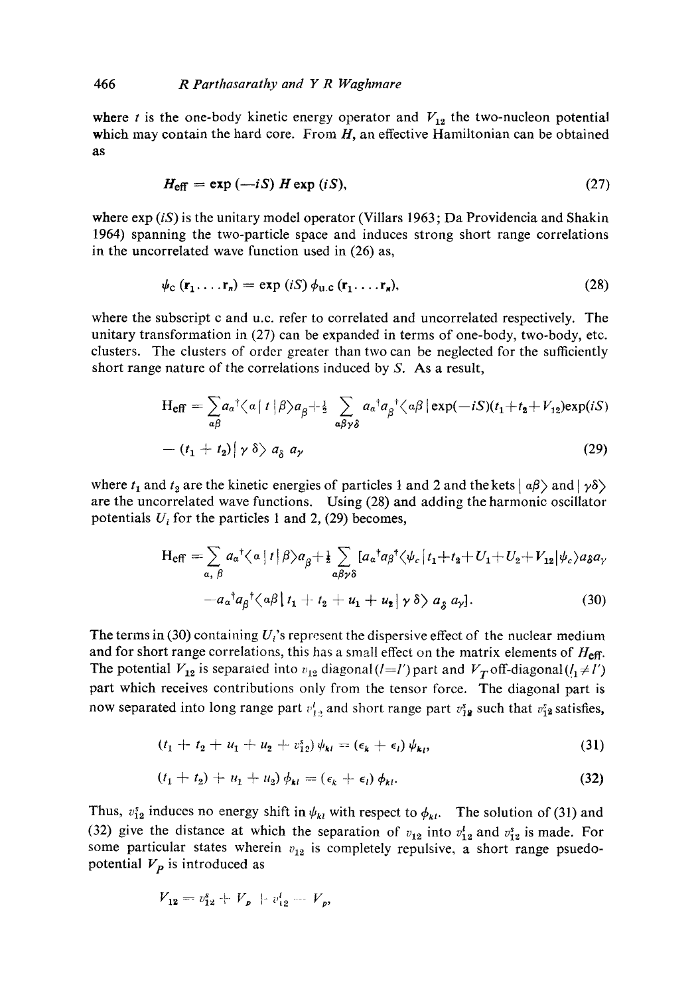where t is the one-body kinetic energy operator and  $V_{12}$  the two-nucleon potential which may contain the hard core. From  $H$ , an effective Hamiltonian can be obtained as

$$
H_{\text{eff}} = \exp(-iS) H \exp (iS), \qquad (27)
$$

where  $\exp(iS)$  is the unitary model operator (Villars 1963; Da Providencia and Shakin 1964) spanning the two-particle space and induces strong short range correlations in the uncorrelated wave function used in (26) as,

$$
\psi_{\rm C}(\mathbf{r}_1,\ldots,\mathbf{r}_n)=\exp(iS)\,\phi_{\rm U.C}(\mathbf{r}_1,\ldots,\mathbf{r}_n),\tag{28}
$$

where the subscript c and u.c. refer to correlated and uncorrelated respectively. The unitary transformation in (27) can be expanded in terms of one-body, two-body, etc. clusters. The clusters of order greater than two can be neglected for the sufficiently short range nature of the correlations induced by S. As a result,

$$
H_{eff} = \sum_{\alpha\beta} a_{\alpha}{}^{\dagger} \langle \alpha | t | \beta \rangle a_{\beta} + \frac{1}{2} \sum_{\alpha\beta\gamma\delta} a_{\alpha}{}^{\dagger} a_{\beta}{}^{\dagger} \langle \alpha \beta | \exp(-iS)(t_1 + t_2 + V_{12}) \exp(iS)
$$

$$
- (t_1 + t_2) | \gamma \delta \rangle a_{\delta} a_{\gamma}
$$
(29)

where  $t_1$  and  $t_2$  are the kinetic energies of particles 1 and 2 and the kets  $| \alpha \beta \rangle$  and  $| \gamma \delta \rangle$ are the uncorrelated wave functions. Using (28) and adding the harmonic oscillator potentials  $U_i$  for the particles 1 and 2, (29) becomes,

$$
H_{eff} = \sum_{\alpha, \beta} a_{\alpha}^{-t} \langle \alpha | t | \beta \rangle a_{\beta} + \frac{1}{2} \sum_{\alpha \beta \gamma \delta} [a_{\alpha}^{\dagger} a_{\beta}^{\dagger} \langle \psi_c | t_1 + t_2 + U_1 + U_2 + V_{12} | \psi_c \rangle a_{\delta} a_{\gamma} - a_{\alpha}^{\dagger} a_{\beta}^{\dagger} \langle \alpha \beta | t_1 + t_2 + u_1 + u_2 | \gamma \delta \rangle a_{\delta} a_{\gamma}].
$$
 (30)

The terms in (30) containing  $U_i$ 's represent the dispersive effect of the nuclear medium and for short range correlations, this has a small effect on the matrix elements of  $H_{\text{eff}}$ . The potential  $V_{12}$  is separated into  $v_{12}$  diagonal (*l*=*l'*) part and  $V_T$  off-diagonal (*l*<sub>1</sub>  $\neq$  *l'*) part which receives contributions only from the tensor force. The diagonal part is now separated into long range part  $v'_{1,2}$  and short range part  $v_{12}^s$  such that  $v_{12}^s$  satisfies,

$$
(t_1 + t_2 + u_1 + u_2 + v_{12}^s) \psi_{kl} = (\epsilon_k + \epsilon_l) \psi_{kl}, \qquad (31)
$$

$$
(t_1 + t_2) + u_1 + u_2 \phi_{kl} = (\epsilon_k + \epsilon_l) \phi_{kl}.
$$
 (32)

Thus,  $v_{12}^s$  induces no energy shift in  $\psi_{kl}$  with respect to  $\phi_{kl}$ . The solution of (31) and (32) give the distance at which the separation of  $v_{12}$  into  $v_{12}^1$  and  $v_{12}^s$  is made. For some particular states wherein  $v_{12}$  is completely repulsive, a short range psuedopotential  $V_p$  is introduced as

$$
V_{12} = v_{12}^s + V_p + v_{12}^l - V_p
$$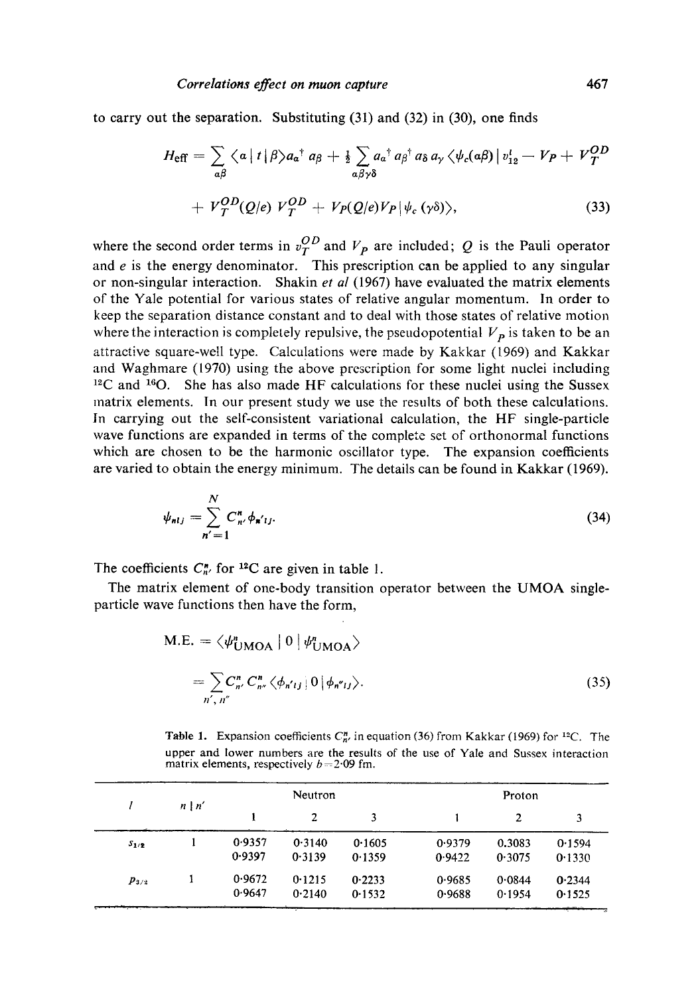to carry out the separation. Substituting (31) and (32) in (30), one finds

$$
H_{\text{eff}} = \sum_{a\beta} \langle a | t | \beta \rangle a_{a}^{\dagger} a_{\beta} + \frac{1}{2} \sum_{a\beta\gamma\delta} a_{a}^{\dagger} a_{\beta}^{\dagger} a_{\delta} a_{\gamma} \langle \psi_{c}(a\beta) | v_{12}^{l} - V_{P} + V_{T}^{OD}
$$
  
+  $V_{T}^{OD}(Q/e) V_{T}^{OD} + V_{P}(Q/e) V_{P} |\psi_{c}(\gamma\delta) \rangle,$  (33)

where the second order terms in  $v_T^{OD}$  and  $V_p$  are included; Q is the Pauli operator and  $e$  is the energy denominator. This prescription can be applied to any singular or non-singular interaction. Shakin *et al* (1967) have evaluated the matrix elements of the Yale potential for various states of relative angular momentum. In order to keep the separation distance constant and to deal with those states of relative motion where the interaction is completely repulsive, the pseudopotential  $V_p$  is taken to be an attractive square-well type. Calculations were made by Kakkar (1969) and Kakkar and Waghmare (1970) using the above prescription for some light nuclei including  $12^{\circ}$ C and  $16^{\circ}$ O. She has also made HF calculations for these nuclei using the Sussex matrix elements. In our present study we use the results of both these calculations. In carrying out the self-consistent variational calculation, the HF single-particle wave functions are expanded in terms of the complete set of orthonormal functions which are chosen to be the harmonic oscillator type. The expansion coefficients are varied to obtain the energy minimum. The details can be found in Kakkar (1969).

$$
\psi_{nlj} = \sum_{n'=1}^{N} C_{n'}^{\mathfrak{n}} \phi_{n'lj}.
$$
\n(34)

The coefficients  $C_{n'}^{\prime\prime}$  for <sup>12</sup>C are given in table 1.

The matrix element of one-body transition operator between the UMOA singleparticle wave functions then have the form,

$$
M.E. = \langle \psi_{UMOA}^n \mid 0 \mid \psi_{UMOA}^n \rangle
$$
  
= 
$$
\sum_{n', n''} C_{n''}^n C_{n''}^n \langle \phi_{n'ij} \mid 0 \mid \phi_{n''jj} \rangle.
$$
 (35)

**Table 1.** Expansion coefficients  $C_{n'}^n$  in equation (36) from Kakkar (1969) for <sup>12</sup>C. The upper and lower numbers are the results of the use of Yale and Sussex interaction matrix elements, respectively  $b = 2.09$  fm.

|           | $n \mid n'$ | Neutron          |                  | Proton           |                  |                  |                  |
|-----------|-------------|------------------|------------------|------------------|------------------|------------------|------------------|
|           |             |                  | 2                | 3                |                  | 2                | 3                |
| $S_{1/2}$ |             | 0.9357<br>0.9397 | 0.3140<br>0.3139 | 0.1605<br>0.1359 | 0.9379<br>0.9422 | 0.3083<br>0.3075 | 0.1594<br>0.1330 |
| $p_{3/2}$ |             | 0.9672<br>0.9647 | 0.1215<br>0.2140 | 0.2233<br>0.1532 | 0.9685<br>0.9688 | 0.0844<br>0.1954 | 0.2344<br>0.1525 |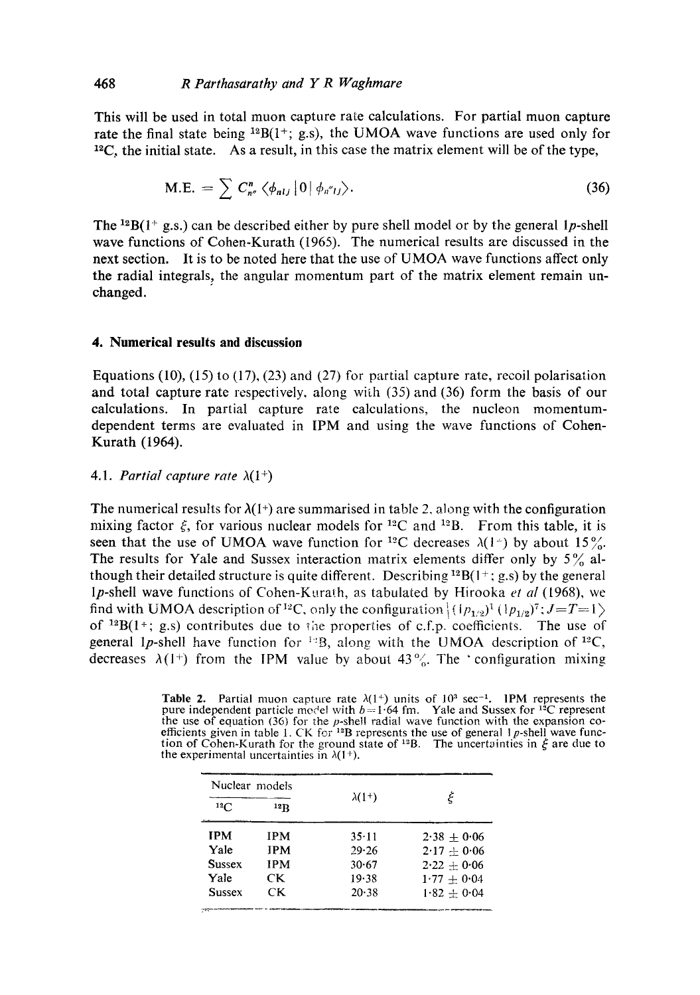This will be used in total muon capture rate calculations. For partial muon capture rate the final state being  $^{12}B(1^+; g.s)$ , the UMOA wave functions are used only for  $^{12}$ C, the initial state. As a result, in this case the matrix element will be of the type,

$$
\text{M.E.} = \sum C_{n''}^n \langle \phi_{nlj} | 0 | \phi_{n''lj} \rangle. \tag{36}
$$

The <sup>12</sup>B(1<sup>+</sup> g.s.) can be described either by pure shell model or by the general 1p-shell wave functions of Cohen-Kurath (1965). The numerical results are discussed in the next section. It is to be noted here that the use of UMOA wave functions affect only the radial integrals, the angular momentum part of the matrix element remain unchanged.

#### **4. Numerical results and discussion**

Equations (10), (15) to (17), (23) and (27) for partial capture rate, recoil polarisation and total capture rate respectively, along with (35) and (36) form the basis of our calculations. In partial capture rate calculations, the nucleon momentumdependent terms are evaluated in IPM and using the wave functions of Cohen-Kurath (1964).

## 4.1. *Partial capture rate*  $\lambda(1^+)$

The numerical results for  $\lambda(1^+)$  are summarised in table 2, along with the configuration mixing factor  $\xi$ , for various nuclear models for <sup>12</sup>C and <sup>12</sup>B. From this table, it is seen that the use of UMOA wave function for <sup>12</sup>C decreases  $\lambda(1^+)$  by about  $15\frac{9}{10}$ . The results for Yale and Sussex interaction matrix elements differ only by  $5\%$  although their detailed structure is quite different. Describing  ${}^{12}B(1^+; g.s)$  by the general lp-shell wave functions of Cohen-Kurath, as tabulated by Hirooka *et al* (1968), we find with UMOA description of <sup>12</sup>C, only the configuration  $\langle (1p_{1/2})^1 (1p_{1/2})^7 : J = T = 1 \rangle$ of  $^{12}B(1^+; g.s)$  contributes due to the properties of c.f.p. coefficients. The use of general 1p-shell have function for <sup>1:2</sup>B, along with the UMOA description of <sup>12</sup>C, decreases  $\lambda(1^+)$  from the IPM value by about 43%. The 'configuration mixing

**Table 2.** Partial muon capture rate  $\lambda(1^+)$  units of  $10^3$  sec<sup>-1</sup>. IPM represents the pure independent particle model with  $b=1.64$  fm. Yale and Sussex for <sup>12</sup>C represent the use of equation (36) for the *p*-shell radial wave function with the expansion co-<br>efficients given in table 1. CK for <sup>12</sup>B represents the use of general 1 *p*-shell wave function of Cohen-Kurath for the ground state of <sup>12</sup>B. The uncertainties in  $\xi$  are due to the experimental uncertainties in  $\lambda(1^+)$ .

| Nuclear models |            |               | ξ             |  |
|----------------|------------|---------------|---------------|--|
| 12C            | 12R        | $\lambda(1+)$ |               |  |
| <b>IPM</b>     | <b>IPM</b> | 35·11         | $2.38 + 0.06$ |  |
| Yale           | <b>IPM</b> | 29.26         | $2.17 + 0.06$ |  |
| <b>Sussex</b>  | <b>IPM</b> | 30.67         | $2.22 + 0.06$ |  |
| Yale           | CK.        | 19.38         | $1.77 + 0.04$ |  |
| <b>Sussex</b>  | CК         | $20 - 38$     | $1.82 + 0.04$ |  |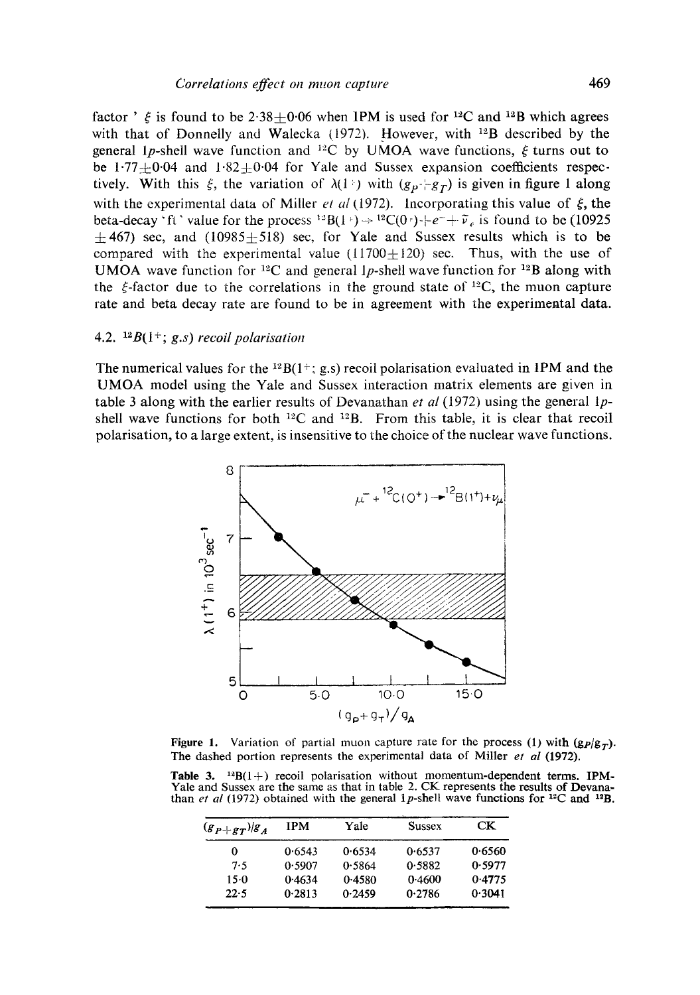factor '  $\zeta$  is found to be 2.38+0.06 when IPM is used for <sup>12</sup>C and <sup>12</sup>B which agrees with that of Donnelly and Walecka (1972). However, with <sup>12</sup>B described by the general 1p-shell wave function and <sup>12</sup>C by UMOA wave functions,  $\xi$  turns out to be 1.77 $\pm$ 0.04 and 1.82 $\pm$ 0.04 for Yale and Sussex expansion coefficients respectively. With this  $\xi$ , the variation of  $\lambda(1)$  with  $(g_p - g_f)$  is given in figure 1 along with the experimental data of Miller *et al* (1972). Incorporating this value of  $\xi$ , the beta-decay 'ft' value for the process  $^{12}B(1^{\circ}) \rightarrow ^{12}C(0^{\circ}) + e^{-} + \tilde{\nu}_{e}$  is found to be (10925)  $\pm$ 467) sec, and (10985 $\pm$ 518) sec, for Yale and Sussex results which is to be compared with the experimental value  $(11700 \pm 120)$  sec. Thus, with the use of UMOA wave function for <sup>12</sup>C and general lp-shell wave function for <sup>12</sup>B along with the  $\xi$ -factor due to the correlations in the ground state of <sup>12</sup>C, the muon capture rate and beta decay rate are found to be in agreement with the experimental data.

## 4.2.  $^{12}B(1^+; g.s)$  recoil polarisation

The numerical values for the  $^{12}B(1^+; g.s)$  recoil polarisation evaluated in IPM and the UMOA model using the Yale and Sussex interaction matrix elements are given in table 3 along with the earlier results of Devanathan *et al* (1972) using the general lpshell wave functions for both  $^{12}C$  and  $^{12}B$ . From this table, it is clear that recoil polarisation, to a large extent, is insensitive to the choice of the nuclear wave functions.



Figure 1. Variation of partial muon capture rate for the process (1) with  $(g_P/g_T)$ . The dashed portion represents the experimental data of Miller *et al* (1972).

**Table 3.** <sup>12</sup>B(1+) recoil polarisation without momentum-dependent terms. IPM-Yale and Sussex are the same as that in table 2. CK represents the results of Devanathan *et al* (1972) obtained with the general 1p-shell wave functions for <sup>12</sup>C and <sup>12</sup>B.

| $(g_{P+g_{T}})g_{A}$ | IPM    | Yale   | <b>Sussex</b> | CK.    |
|----------------------|--------|--------|---------------|--------|
| 0                    | 0.6543 | 0.6534 | 0.6537        | 0.6560 |
| 7.5                  | 0.5907 | 0.5864 | 0.5882        | 0.5977 |
| 15.0                 | 0.4634 | 0.4580 | 0.4600        | 0.4775 |
| 22.5                 | 0.2813 | 0.2459 | 0.2786        | 0.3041 |
|                      |        |        |               |        |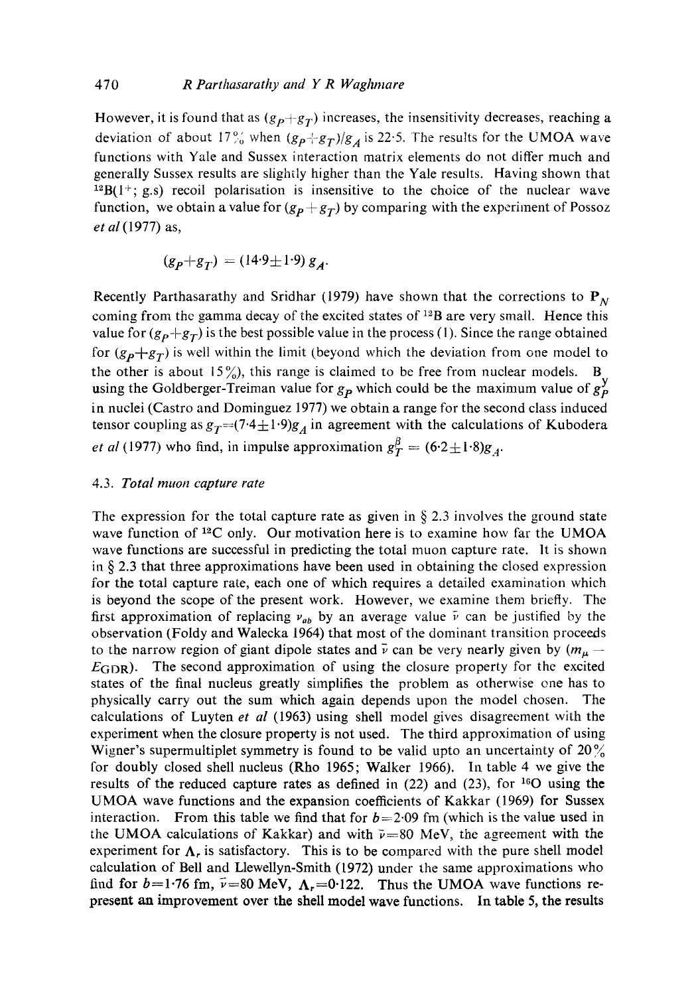However, it is found that as  $(g_p+g_T)$  increases, the insensitivity decreases, reaching a deviation of about  $17\frac{9}{70}$  when  $(g_P + g_T)/g_A$  is 22.5. The results for the UMOA wave functions with Yale and Sussex interaction matrix elements do not differ much and generally Sussex results are slightly higher than the Yale results. Having shown that  $12B(1^+; g.s)$  recoil polarisation is insensitive to the choice of the nuclear wave function, we obtain a value for  $(g_p + g_T)$  by comparing with the experiment of Possoz *et al* (1977) as,

$$
(g_p+g_T) = (14.9 \pm 1.9) g_A.
$$

Recently Parthasarathy and Sridhar (1979) have shown that the corrections to  $P_N$ coming from the gamma decay of the excited states of  $^{12}B$  are very small. Hence this value for  $(g_P+g_T)$  is the best possible value in the process (1). Since the range obtained for  $(g_p+g_T)$  is well within the limit (beyond which the deviation from one model to the other is about 15%), this range is claimed to be free from nuclear models. B using the Goldberger-Treiman value for  $g_p$  which could be the maximum value of  $g_p^y$ in nuclei (Castro and Dominguez 1977) we obtain a range for the second class induced tensor coupling as  $g_T=(7.4\pm1.9)g_A$  in agreement with the calculations of Kubodera *et al* (1977) who find, in impulse approximation  $g_T^{\beta} = (6.2 \pm 1.8)g_A$ .

## 4.3. *Total rnuon capture rate*

The expression for the total capture rate as given in  $\S 2.3$  involves the ground state wave function of  $^{12}C$  only. Our motivation here is to examine how far the UMOA wave functions are successful in predicting the total muon capture rate. It is shown in  $\S$  2.3 that three approximations have been used in obtaining the closed expression for the total capture rate, each one of which requires a detailed examination which is beyond the scope of the present work. However, we examine them briefly. The first approximation of replacing  $v_{ab}$  by an average value  $\bar{\nu}$  can be justified by the observation (Foldy and Walecka 1964) that most of the dominant transition proceeds to the narrow region of giant dipole states and  $\bar{\nu}$  can be very nearly given by  $(m_{\mu} E_{GDR}$ ). The second approximation of using the closure property for the excited states of the final nucleus greatly simplifies the problem as otherwise ene has to physically carry out the sum which again depends upon the model chosen. The calculations of Luyten *et al* (1963) using shell model gives disagreement with the experiment when the closure property is not used. The third approximation of using Wigner's supermultiplet symmetry is found to be valid upto an uncertainty of  $20\%$ for doubly closed shell nucleus (Rho 1965; Walker 1966). In table 4 we give the results of the reduced capture rates as defined in  $(22)$  and  $(23)$ , for <sup>16</sup>O using the UMOA wave functions and the expansion coefficients of Kakkar (1969) for Sussex interaction. From this table we find that for  $b=2.09$  fm (which is the value used in the UMOA calculations of Kakkar) and with  $\bar{\nu}$ =80 MeV, the agreement with the experiment for  $\Lambda_r$  is satisfactory. This is to be compared with the pure shell model calculation of Bell and Llewellyn-Smith (1972) under the same approximations who find for  $b=1.76$  fm,  $\bar{\nu}=80$  MeV,  $\Lambda_r=0.122$ . Thus the UMOA wave functions represent an improvement over the shell model wave functions. In table 5, the results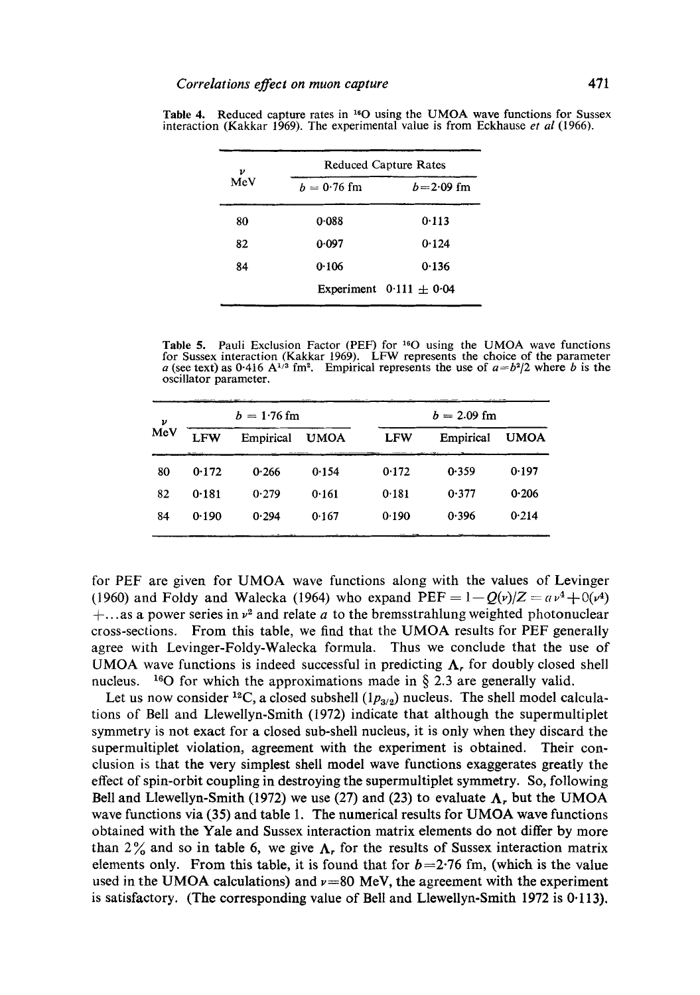| ν<br>MeV | <b>Reduced Capture Rates</b> |                             |  |  |
|----------|------------------------------|-----------------------------|--|--|
|          | $b = 0.76$ fm                | $b = 2.09$ fm               |  |  |
| 80       | 0.088                        | 0.113                       |  |  |
| 82       | 0.097                        | 0.124                       |  |  |
| 84       | 0.106                        | 0.136                       |  |  |
|          |                              | Experiment $0.111 \pm 0.04$ |  |  |

Table 4. Reduced capture rates in  $^{16}O$  using the UMOA wave functions for Sussex interaction (Kakkar 1969). The experimental value is from Eckhause *et al* (1966).

Table 5. Pauli Exclusion Factor (PEF) for  $160$  using the UMOA wave functions for Sussex interaction (Kakkar 1969). LFW represents the choice of the parameter a (see text) as 0.416 A<sup> $1/3$ </sup> fm<sup>2</sup>. Empirical represents the use of  $a=b^2/2$  where b is the oscillator parameter.

| ν<br>MeV |            | $b = 1.76$ fm |             |            | $b = 2.09$ fm |             |
|----------|------------|---------------|-------------|------------|---------------|-------------|
|          | <b>LFW</b> | Empirical     | <b>UMOA</b> | <b>LFW</b> | Empirical     | <b>UMOA</b> |
| 80       | 0.172      | 0.266         | 0.154       | 0.172      | 0.359         | 0.197       |
| 82       | 0.181      | 0.279         | 0.161       | 0.181      | 0.377         | 0.206       |
| 84       | 0.190      | 0.294         | 0.167       | 0.190      | 0.396         | 0.214       |
|          |            |               |             |            |               |             |

for PEF are given for UMOA wave functions along with the values of Levinger (1960) and Foldy and Walecka (1964) who expand  $PEF = 1 - Q(v)/Z = a v^4 + O(v^4)$ +...as a power series in  $v^2$  and relate a to the bremsstrahlung weighted photonuclear cross-sections. From this table, we find that the UMOA results for PEF generally agree with Levinger-Foldy-Walecka formula. Thus we conclude that the use of UMOA wave functions is indeed successful in predicting  $\Lambda$ , for doubly closed shell nucleus. <sup>16</sup>O for which the approximations made in  $\S$  2.3 are generally valid.

Let us now consider <sup>12</sup>C, a closed subshell  $(1p_{3/2})$  nucleus. The shell model calculations of Bell and Llewellyn-Smith (1972) indicate that although the supermultiplet symmetry is not exact for a closed sub-shell nucleus, it is only when they discard the supermultiplet violation, agreement with the experiment is obtained. Their conclusion is that the very simplest shell model wave functions exaggerates greatly the effect of spin-orbit coupling in destroying the supermultiplet symmetry. So, following Bell and Llewellyn-Smith (1972) we use (27) and (23) to evaluate  $\Lambda$ , but the UMOA wave functions via (35) and table 1. The numerical results for UMOA wave functions obtained with the Yale and Sussex interaction matrix elements do not differ by more than 2% and so in table 6, we give  $\Lambda_r$  for the results of Sussex interaction matrix elements only. From this table, it is found that for  $b=2.76$  fm, (which is the value used in the UMOA calculations) and  $\nu=80$  MeV, the agreement with the experiment is satisfactory. (The corresponding value of Bell and Llewellyn-Smith 1972 is 0.113).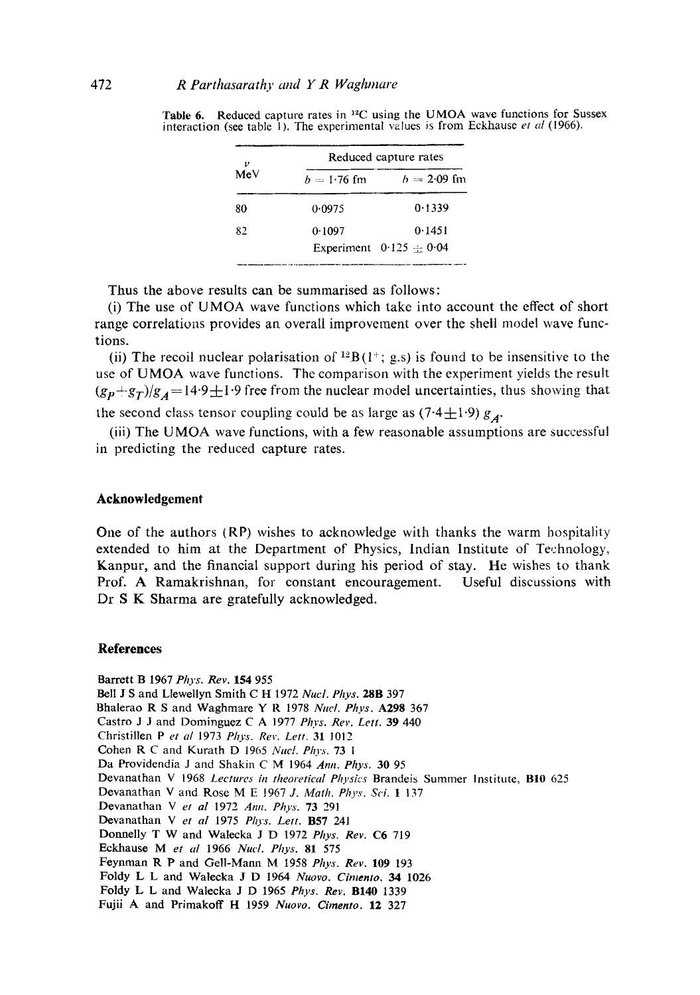| ν   | Reduced capture rates |                             |  |  |
|-----|-----------------------|-----------------------------|--|--|
| MeV | $h = 1.76$ fm         | $b = 2.09$ fm               |  |  |
| 80  | 0.0975                | 0.1339                      |  |  |
| 82  | 0.1097                | 0.1451                      |  |  |
|     |                       | Experiment $0.125 \pm 0.04$ |  |  |

Table 6. Reduced capture rates in <sup>12</sup>C using the UMOA wave functions for Sussex interaction (see table 1). The experimental values is from Eckhause *et al* (1966).

Thus the above results can be summarised as follows:

(i) The use of UMOA wave functions which take into account the effect of short range correlations provides an overall improvement over the shell model wave functions.

(ii) The recoil nuclear polarisation of  $^{12}B(1^+; g.s$ ) is found to be insensitive to the use of UMOA wave functions. The comparison with the experiment yields the result  $(g_p+g_T)/g_A=14.9\pm1.9$  free from the nuclear model uncertainties, thus showing that the second class tensor coupling could be as large as  $(7.4 \pm 1.9) g_A$ .

(iii) The UMOA wave functions, with a few reasonable assumptions are successful in predicting the reduced capture rates.

## **Acknowledgement**

One of the authors (RP) wishes to acknowledge with thanks the warm hospitality extended to him at the Department of Physics, Indian Institute of Technology, Kanpur, and the financial support during his period of stay. He wishes to thank Prof. A Ramakrishnan, for constant encouragement. Useful discussions with Dr S K Sharma are gratefully acknowledged.

#### **References**

Barrett B 1967 *Phys. Rev.* 154 955 Bell J S and Llewellyn Smith C H 1972 *Nucl. Phys.* 28B 397 Bhalerao R S and Waghmare Y R 1978 *Nuel. Phys.* A298 367 Castro J J and Dominguez C A 1977 *Phys. Rev. Lett.* 39 440 Christillen Pet *al* 1973 *Ph.vs. Rev. Lett.* 31 1012 Cohen R C and Kurath D 1965 *Nuc[. Phys.* 73 1 Da Providendia J and Shakin C M 1964 *Ann. Phys.* 30 95 Devanathan V 1968 *Lectures in theoretical Physics* Brandeis Summer Institute, B10 625 Devanathan V and Rose M E 1967 *J. Math. Phys. Sci.* 1 137 Devanathan Vet *al* 1972 *Ann. Phys.* 73 291 Devanathan Vet *al* 1975 *Phys. Lett.* B57 241 Domaelly T W and Walecka J D 1972 *Phys. Rev. C6* 719 Eckhause Met *al* 1966 *Nucl. Phys.* 81 575 Feynman R P and Gell-Mann M 1958 *Phys. Rev.* 109 193 Foldy L L and Walecka J D 1964 *Nuovo. Cimento. 34* 1026 Foldy L L and Walecka J D 1965 *Phys. Rev.* B140 1339 Fujii A and Primakoff H 1959 *Nuovo. Cirnento.* 12 327